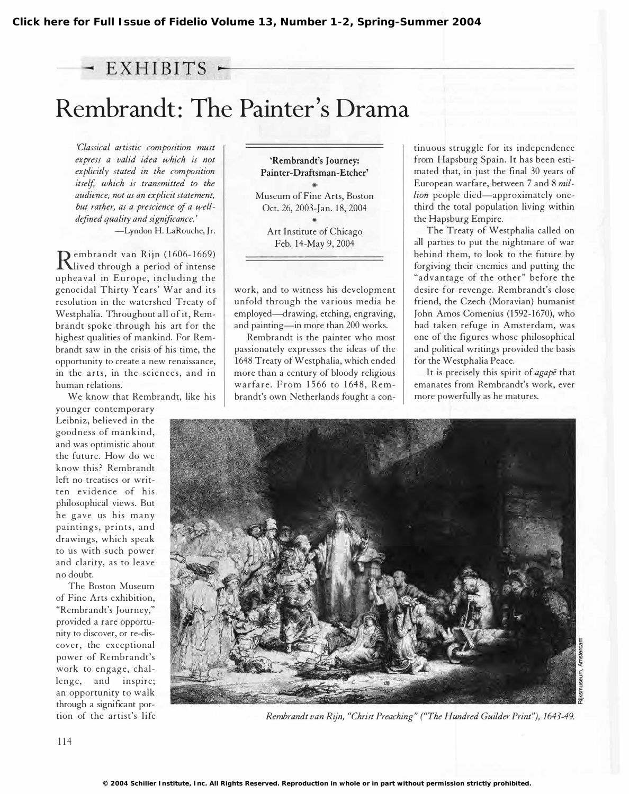# $-$  EXHIBITS  $-$

# Rembrandt: The Painter's Drama

'Classical artistic composition must express a valid idea which is not explicitly stated in the composition itself, which is transmitted to the audience, not as an explicit statement, but rather, as a prescience of a welldefined quality and significance.' -Lyndon H. LaRouche, Jr.

Rived through a period of intense embrandt van Rijn (1606-1669) upheaval in Europe, including the genoc idal Thirty Years' War and its resolution in the watershed Treaty of Westphalia. Throughout all of it, Rembrandt spoke through his art for the highest qualities of mankind. For Rembrandt saw in the crisis of his time, the opportunity to create a new renaissance, in the arts, in the sciences, and in human relations.

We know that Rembrandt, like his

younger contemporary Leibniz, believed in the goodness of mankind, and was optimistic about the future. How do we know this? Rembrandt left no treatises or written evidence of his philosophical views. But he gave us his many paintings, prints, and drawings, which speak to us with such power and clarity, as to leave no doubt.

The Boston Museum of Fine Arts exhibition, "Rembrandt's Journey," provided a rare opportunity to discover, or re-discover, the exceptional power of Rembrandt's work to engage, challenge, and inspire; an opportunity to walk through a significant portion of the artist's life

'Rembrandt's Journey: Painter-Draftsman -Etcher' Museum of Fine Arts, Boston Oct. 26, 2003-Jan. 18, 2004

,. Art Institute of Chicago Feb. 14-May 9, 2004

work, and to witness his development unfold through the various media he employed--drawing, etching, engraving, and painting-in more than 200 works.

Rembrandt is the painter who most passionately expresses the ideas of the 1 648 Treaty of Westphalia, which ended more than a century of bloody religious warfare. From 1566 to 1648, Rembrandt's own Netherlands fought a continuous struggle for its independence from Hapsburg Spain. It has been estimated that, in just the final 30 years of European warfare, between 7 and 8 million people died-approximately onethird the total population living within the Hapsburg Empire.

The Treaty of Westphalia called on all parties to put the nightmare of war behind them, to look to the future by forgiving their enemies and putting the "advantage of the other" before the desire for revenge. Rembrandt's close friend, the Czech (Moravian) humanist John Amos Comenius (1592-1670), who had taken refuge in Amsterdam, was one of the figures whose philosophical and political writings provided the basis for the Westphalia Peace.

It is precisely this spirit of *agape* that emanates from Rembrandt's work, ever more powerfully as he matures.



Rembrandt van Rijn, "Christ Preaching" ("The Hundred Guilder Print"), 1643-49.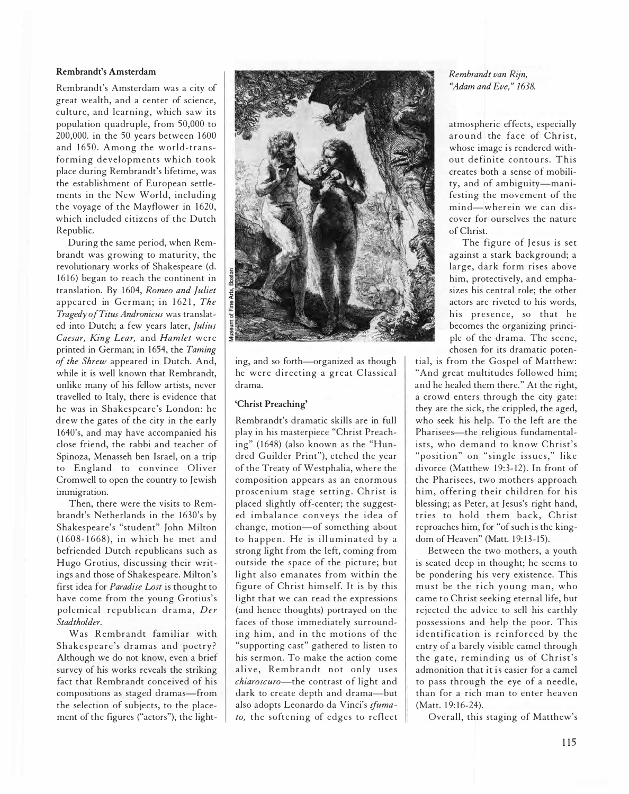#### Rembrandt's Amsterdam

Rembrandt's Amsterdam was a city of great wealth, and a center of science, culture, and learning, which saw its population quadruple, from 50,000 to 200,000. in the 50 years between 1600 and 1650. Among the world-transforming developments which took place during Rembrandt's lifetime, was the establishment of European settlements in the New World, including the voyage of the Mayflower in 1620, which included citizens of the Dutch Republic.

During the same period, when Rembrandt was growing to maturity, the revolutionary works of Shakespeare (d. 1616) began to reach the continent in translation. By 1604, Romeo and Juliet appeared in German; in 1621, The Tragedy of Titus Andronicus was translated into Dutch; a few years later, Julius Caesar, King Lear, and Hamlet were printed in German; in 1654, the Taming of the Shrew appeared in Dutch. And, while it is well known that Rembrandt, unlike many of his fellow artists, never travelled to Italy, there is evidence that he was in Shakespeare's London: he drew the gates of the city in the early 1 640's, and may have accompanied his close friend, the rabbi and teacher of Spinoza, Menasseh ben Israel, on a trip to England to convince Oliver Cromwell to open the country to Jewish immigration.

Then, there were the visits to Rembrandt's Netherlands in the 1630's by Shakespeare's "student" John Milton (16 08- 1 668), in which he met and befriended Dutch republicans such as Hugo Grotius, discussing their writings and those of Shakespeare. Milton's first idea for Paradise Lost is thought to have come from the young Grotius's polemical republican drama, Der Stadtholder.

Was Rembrandt familiar with Shakespeare's dramas and poetry ? Although we do not know, even a brief survey of his works reveals the striking fact that Rembrandt conceived of his compositions as staged dramas-from the selection of subjects, to the placement of the figures ("actors"), the light-



ing, and so forth-organized as though he were directing a great Classical drama.

#### 'Christ Preaching'

Rembrandt's dramatic skills are in full play in his masterpiece "Christ Preaching" (1648) (also known as the "Hundred Guilder Print"), etched the year of the Treaty of Westphalia, where the composition appears as an enormous proscenium stage setting. Christ is placed slightly off-center; the suggested imbalance conveys the idea of change, motion-of something about to happen. He is illuminated by a strong light from the left, coming from outside the space of the picture; but light also emanates from within the figure of Christ himself. It is by this light that we can read the expressions (and hence thoughts) portrayed on the faces of those immediately surrounding him, and in the motions of the "supporting cast" gathered to listen to his sermon. To make the action come alive, Rembrandt not only uses chiaroscuro-the contrast of light and dark to create depth and drama-but also adopts Leonardo da Vinci's sfumato, the softening of edges to reflect

Rembrandt van Rijn, "Adam and Eve," 1638.

atmospheric effects, especially around the face of Christ, whose image is rendered without definite contours. This creates both a sense of mobility, and of ambiguity-manifesting the movement of the mind-wherein we can discover for ourselves the nature of Christ.

The figure of Jesus is set against a stark background; a large, dark form rises above him, protectively, and emphasizes his central role; the other actors are riveted to his words, his presence, so that he becomes the organizing principle of the drama. The scene, chosen for its dramatic poten-

tial, is from the Gospel of Matthew: "And great multitudes followed him; and he healed them there." At the right, a crowd enters through the city gate: they are the sick, the crippled, the aged, who seek his help. To the left are the Pharisees-the religious fundamentalists, who demand to know Christ's "position" on "single issues," like divorce (Matthew 19:3-12). In front of the Pharisees, two mothers approach him, offering their children for his blessing; as Peter, at Jesus's right hand, tries to hold them back, Christ reproaches him, for "of such is the kingdom of Heaven" (Matt. 19:13-15).

Between the two mothers, a youth is seated deep in thought; he seems to be pondering his very existence. This must be the rich young man, who came to Christ seeking eternal life, but rejected the advice to sell his earthly possessions and help the poor. This identification is reinforced by the entry of a barely visible camel through the gate, reminding us of Christ's admonition that it is easier for a camel to pass through the eye of a needle, than for a rich man to enter heaven (Matt. 19:16-24).

Overall, this staging of Matthew's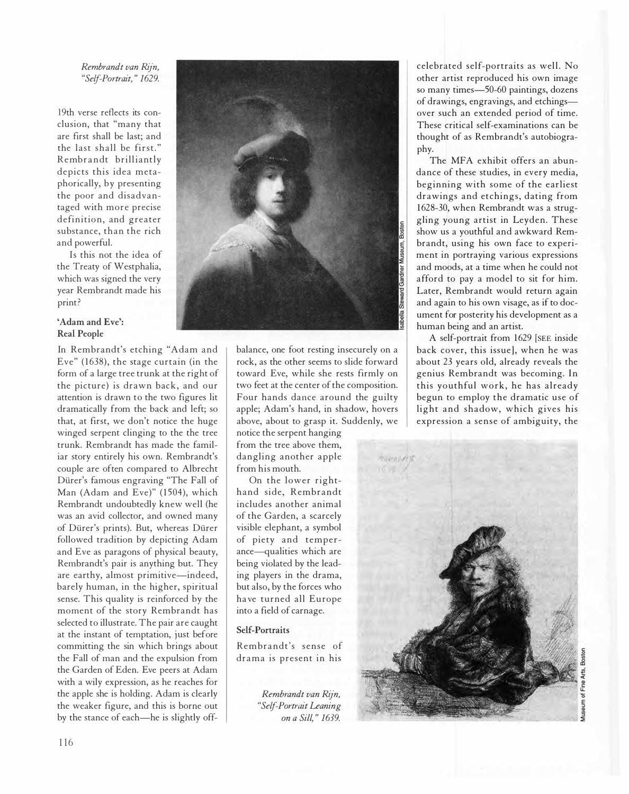# Rembrandt van Rijn, "Self-Portrait," 1629.

19th verse reflects its conclusion, that "many that are first shall be last; and the last shall be first." Rembrandt brilliantly depicts this idea metaphorically, by presenting the poor and disadvantaged with more precise definition, and greater substance, than the rich and powerful.

Is this not the idea of the Treaty of Westphalia, which was signed the very year Rembrandt made his print?

# 'Adam and Eve': Real People

In Rembrandt's etching "Adam and Eve" (1638), the stage curtain (in the form of a large tree trunk at the right of the picture) is drawn back, and our attention is drawn to the two figures lit dramatically from the back and left; so that, at first, we don't notice the huge winged serpent clinging to the the tree trunk. Rembrandt has made the familiar story entirely his own. Rembrandt's couple are often compared to Albrecht Dürer's famous engraving "The Fall of Man (Adam and Eve)" (1504), which Rembrandt undoubtedly knew well (he was an avid collector, and owned many of Dürer's prints). But, whereas Dürer followed tradition by depicting Adam and Eve as paragons of physical beauty, Rembrandt's pair is anything but. They are earthy, almost primitive-indeed, barely human, in the higher, spiritual sense. This quality is reinforced by the moment of the story Rembrandt has selected to illustrate. The pair are caught at the instant of temptation, just before committing the sin which brings about the Fall of man and the expulsion from the Garden of Eden. Eve peers at Adam with a wily expression, as he reaches for the apple she is holding. Adam is clearly the weaker figure, and this is borne out by the stance of each—he is slightly off-



balance, one foot resting insecurely on a rock, as the other seems to slide forward toward Eve, while she rests firmly on two feet at the center of the composition. Four hands dance around the guilty apple; Adam's hand, in shadow, hovers above, about to grasp it. Suddenly, we

notice the serpent hanging from the tree above them, dangling another apple from his mouth.

On the lower righthand side, Rembrandt includes another animal of the Garden, a scarcely visible elephant, a symbol of piety and temperance-qualities which are being violated by the leading players in the drama, but also, by the forces who ha ve turned all Europe into a field of carnage.

# Self-Portraits

Rembrandt's sense of drama is present in his

> Rembrandt van Rijn, "Self-Portrait Leaning on a Sill," 1639.

celebrated self-portraits as well. No other artist reproduced his own image so many times-50-60 paintings, dozens of drawings, engravings, and etchingsover such an extended period of time. These critical self-examinations can be thought of as Rembrandt's autobiography.

The MFA exhibit offers an abundance of these studies, in every media, beginning with some of the earliest drawings and etchings, dating from 1628-30, when Rembrandt was a struggling young artist in Leyden. These show us a youthful and awkward Rembrandt, using his own face to experiment in portraying various expressions and moods, at a time when he could not afford to pay a model to sit for him. Later, Rembrandt would return again and again to his own visage, as if to document for posterity his development as a human being and an artist.

A self-portrait from 1629 [SEE inside back cover, this issue], when he was about 23 years old, already reveals the genius Rembrandt was becoming. In this youthful work, he has already begun to employ the dramatic use of light and shadow, which gives his expression a sense of ambiguity, the

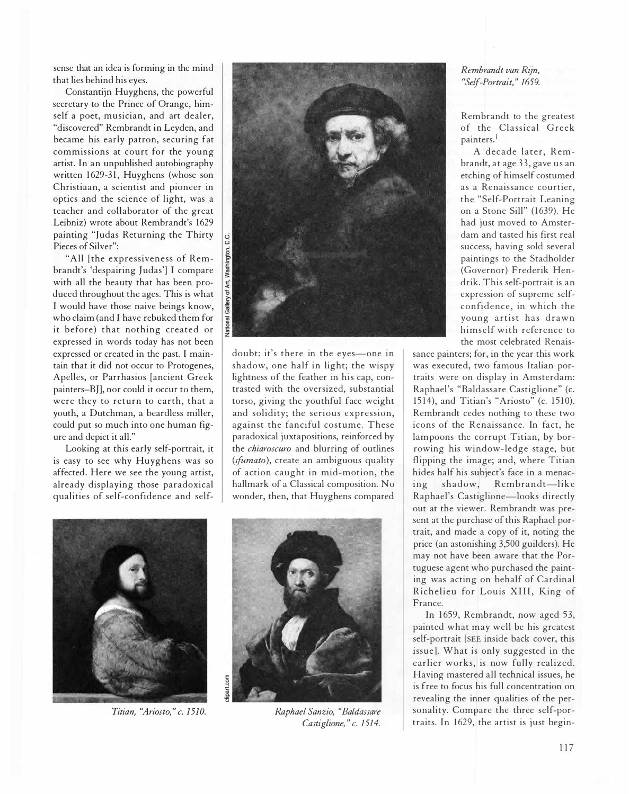sense that an idea is forming in the mind that lies behind his eyes.

Constantijn Huyghens, the powerful secretary to the Prince of Orange, himself a poet, musician, and art dealer, "discovered" Rembrandt in Leyden, and became his early patron, securing fat commissions at court for the young artist. In an unpublished autobiography written 1629-31, Huyghens (whose son Christiaan, a scientist and pioneer in optics and the science of light, was a teacher and cotlaborator of the great Leibniz) wrote about Rembrandt's 1629 painting "Judas Returning the Thirty Pieces of Silver":

"All [the expressiveness of Rembrandt's 'despairing Judas'] I compare with all the beauty that has been produced throughout the ages. This is what I would have those naive beings know, who claim (and I have rebuked them for it before) that nothing created or expressed in words today has not been expressed or created in the past. I maintain that it did not occur to Protogenes, Apelles, or Parrhasios [ancient Greek painters-BJ], nor could it occur to them, were they to return to earth, that a youth, a Dutchman, a beardless miller, could put so much into one human figure and depict it all."

Looking at this early self-portrait, it is easy to see why Huyghens was so affected. Here we see the young artist, already displaying those paradoxical qualities of self-confidence and self-



doubt: it's there in the eyes-one in shadow, one half in light; the wispy lightness of the feather in his cap, contrasted with the oversized, substantial torso, giving the youthful face weight and solidity; the serious expression, against the fanciful costume. These paradoxical juxtapositions, reinforced by the chiaroscuro and blurring of outlines (*sfumato*), create an ambiguous quality of action caught in mid -motion, the hallmark of a Classical composition. No wonder, then, that Huyghens compared



Titian, "Ariosto," c. 1510.



Raphael Sanzio, "Baldassare Castiglione," c. 1514.

# Rembrandt van Rijn, "Self-Portrait," 1659.

Rembrandt to the greatest of the Classical Greek painters.'

A decade later, Rembrandt, at age 33, gave us an etching of himself costumed as a Renaissance courtier, the "Self-Portrait Leaning on a Stone Sill" (1639). He had just moved to Amsterdam and tasted his first real success, having sold several paintings to the Stadholder (Governor) Frederik Hendrik. This self-portrait is an expression of supreme selfconfidence, in which the young artist has drawn himself with reference to the most celebrated Renais-

sance painters; for, in the year this work was executed, two famous Italian portraits were on display in Amsterdam: Raphael's " Baldassare Castiglione" (c. 15l4), and Titian's "Ariosto" (c. 1510). Rembrandt cedes nothing to these two icons of the Renaissance. In fact, he lampoons the corrupt Titian, by borrowing his window-ledge stage, but flipping the image; and, where Titian hides half his subject's face in a menacing shadow, Rembrandt-like Raphael's Castiglione-looks directly out at the viewer. Rembrandt was present at the purchase of this Raphael portrait, and made a copy of it, noting the price (an astonishing 3,500 guilders). He may not have been aware that the Portuguese agent who purchased the painting was acting on behalf of Cardinal Richelieu for Louis XIII, King of France.

In 1659, Rembrandt, now aged 53, painted what may well be his greatest self-portrait [SEE inside back cover, this issue]. What is only suggested in the earlier works, is now fully realized. Having mastered all technical issues, he is free to focus his full concentration on revealing the inner qualities of the personality. Compare the three self-portraits. In 1629, the artist is just begin-